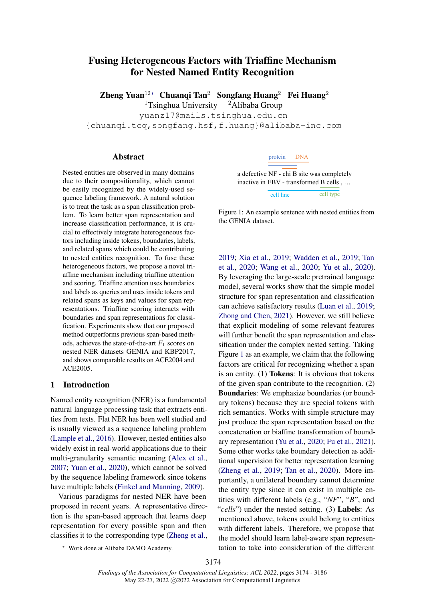# <span id="page-0-0"></span>Fusing Heterogeneous Factors with Triaffine Mechanism for Nested Named Entity Recognition

Zheng Yuan<sup>1[2](#page-0-0)∗</sup> Chuanqi Tan<sup>2</sup> Songfang Huang<sup>2</sup> Fei Huang<sup>2</sup>

<sup>1</sup>Tsinghua University  $^2$ Alibaba Group yuanz17@mails.tsinghua.edu.cn

{chuanqi.tcq,songfang.hsf,f.huang}@alibaba-inc.com

#### Abstract

Nested entities are observed in many domains due to their compositionality, which cannot be easily recognized by the widely-used sequence labeling framework. A natural solution is to treat the task as a span classification problem. To learn better span representation and increase classification performance, it is crucial to effectively integrate heterogeneous factors including inside tokens, boundaries, labels, and related spans which could be contributing to nested entities recognition. To fuse these heterogeneous factors, we propose a novel triaffine mechanism including triaffine attention and scoring. Triaffine attention uses boundaries and labels as queries and uses inside tokens and related spans as keys and values for span representations. Triaffine scoring interacts with boundaries and span representations for classification. Experiments show that our proposed method outperforms previous span-based methods, achieves the state-of-the-art  $F_1$  scores on nested NER datasets GENIA and KBP2017, and shows comparable results on ACE2004 and ACE2005.

### 1 Introduction

Named entity recognition (NER) is a fundamental natural language processing task that extracts entities from texts. Flat NER has been well studied and is usually viewed as a sequence labeling problem [\(Lample et al.,](#page-8-0) [2016\)](#page-8-0). However, nested entities also widely exist in real-world applications due to their multi-granularity semantic meaning [\(Alex et al.,](#page-8-1) [2007;](#page-8-1) [Yuan et al.,](#page-10-0) [2020\)](#page-10-0), which cannot be solved by the sequence labeling framework since tokens have multiple labels [\(Finkel and Manning,](#page-8-2) [2009\)](#page-8-2).

Various paradigms for nested NER have been proposed in recent years. A representative direction is the span-based approach that learns deep representation for every possible span and then classifies it to the corresponding type [\(Zheng et al.,](#page-10-1)

### protein DNA

<span id="page-0-1"></span>a defective NF - chi B site was completely inactive in EBV - transformed B cells , … cell line cell type

Figure 1: An example sentence with nested entities from the GENIA dataset.

[2019;](#page-10-1) [Xia et al.,](#page-10-2) [2019;](#page-10-2) [Wadden et al.,](#page-9-0) [2019;](#page-9-0) [Tan](#page-9-1) [et al.,](#page-9-1) [2020;](#page-9-1) [Wang et al.,](#page-9-2) [2020;](#page-9-2) [Yu et al.,](#page-10-3) [2020\)](#page-10-3). By leveraging the large-scale pretrained language model, several works show that the simple model structure for span representation and classification can achieve satisfactory results [\(Luan et al.,](#page-9-3) [2019;](#page-9-3) [Zhong and Chen,](#page-10-4) [2021\)](#page-10-4). However, we still believe that explicit modeling of some relevant features will further benefit the span representation and classification under the complex nested setting. Taking Figure [1](#page-0-1) as an example, we claim that the following factors are critical for recognizing whether a span is an entity. (1) Tokens: It is obvious that tokens of the given span contribute to the recognition. (2) Boundaries: We emphasize boundaries (or boundary tokens) because they are special tokens with rich semantics. Works with simple structure may just produce the span representation based on the concatenation or biaffine transformation of boundary representation [\(Yu et al.,](#page-10-3) [2020;](#page-10-3) [Fu et al.,](#page-8-3) [2021\)](#page-8-3). Some other works take boundary detection as additional supervision for better representation learning [\(Zheng et al.,](#page-10-1) [2019;](#page-10-1) [Tan et al.,](#page-9-1) [2020\)](#page-9-1). More importantly, a unilateral boundary cannot determine the entity type since it can exist in multiple entities with different labels (e.g., "*NF*", "*B*", and "*cells*") under the nested setting. (3) Labels: As mentioned above, tokens could belong to entities with different labels. Therefore, we propose that the model should learn label-aware span representation to take into consideration of the different

Work done at Alibaba DAMO Academy.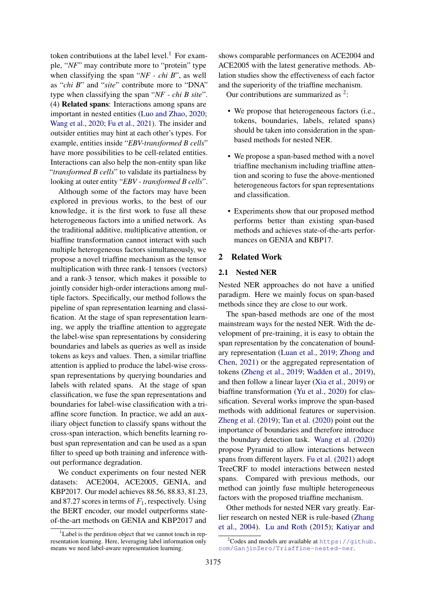token contributions at the label level.<sup>[1](#page-1-0)</sup> For example, "*NF*" may contribute more to "protein" type when classifying the span "*NF - chi B*", as well as "*chi B*" and "*site*" contribute more to "DNA" type when classifying the span "*NF - chi B site*". (4) Related spans: Interactions among spans are important in nested entities [\(Luo and Zhao,](#page-9-4) [2020;](#page-9-4) [Wang et al.,](#page-9-2) [2020;](#page-9-2) [Fu et al.,](#page-8-3) [2021\)](#page-8-3). The insider and outsider entities may hint at each other's types. For example, entities inside "*EBV-transformed B cells*" have more possibilities to be cell-related entities. Interactions can also help the non-entity span like "*transformed B cells*" to validate its partialness by looking at outer entity "*EBV - transformed B cells*".

Although some of the factors may have been explored in previous works, to the best of our knowledge, it is the first work to fuse all these heterogeneous factors into a unified network. As the traditional additive, multiplicative attention, or biaffine transformation cannot interact with such multiple heterogeneous factors simultaneously, we propose a novel triaffine mechanism as the tensor multiplication with three rank-1 tensors (vectors) and a rank-3 tensor, which makes it possible to jointly consider high-order interactions among multiple factors. Specifically, our method follows the pipeline of span representation learning and classification. At the stage of span representation learning, we apply the triaffine attention to aggregate the label-wise span representations by considering boundaries and labels as queries as well as inside tokens as keys and values. Then, a similar triaffine attention is applied to produce the label-wise crossspan representations by querying boundaries and labels with related spans. At the stage of span classification, we fuse the span representations and boundaries for label-wise classification with a triaffine score function. In practice, we add an auxiliary object function to classify spans without the cross-span interaction, which benefits learning robust span representation and can be used as a span filter to speed up both training and inference without performance degradation.

We conduct experiments on four nested NER datasets: ACE2004, ACE2005, GENIA, and KBP2017. Our model achieves 88.56, 88.83, 81.23, and 87.27 scores in terms of  $F_1$ , respectively. Using the BERT encoder, our model outperforms stateof-the-art methods on GENIA and KBP2017 and

shows comparable performances on ACE2004 and ACE2005 with the latest generative methods. Ablation studies show the effectiveness of each factor and the superiority of the triaffine mechanism.

Our contributions are summarized as  $2$ :

- We propose that heterogeneous factors (i.e., tokens, boundaries, labels, related spans) should be taken into consideration in the spanbased methods for nested NER.
- We propose a span-based method with a novel triaffine mechanism including triaffine attention and scoring to fuse the above-mentioned heterogeneous factors for span representations and classification.
- Experiments show that our proposed method performs better than existing span-based methods and achieves state-of-the-arts performances on GENIA and KBP17.

### 2 Related Work

### 2.1 Nested NER

Nested NER approaches do not have a unified paradigm. Here we mainly focus on span-based methods since they are close to our work.

The span-based methods are one of the most mainstream ways for the nested NER. With the development of pre-training, it is easy to obtain the span representation by the concatenation of boundary representation [\(Luan et al.,](#page-9-3) [2019;](#page-9-3) [Zhong and](#page-10-4) [Chen,](#page-10-4) [2021\)](#page-10-4) or the aggregated representation of tokens [\(Zheng et al.,](#page-10-1) [2019;](#page-10-1) [Wadden et al.,](#page-9-0) [2019\)](#page-9-0), and then follow a linear layer [\(Xia et al.,](#page-10-2) [2019\)](#page-10-2) or biaffine transformation [\(Yu et al.,](#page-10-3) [2020\)](#page-10-3) for classification. Several works improve the span-based methods with additional features or supervision. [Zheng et al.](#page-10-1) [\(2019\)](#page-10-1); [Tan et al.](#page-9-1) [\(2020\)](#page-9-1) point out the importance of boundaries and therefore introduce the boundary detection task. [Wang et al.](#page-9-2) [\(2020\)](#page-9-2) propose Pyramid to allow interactions between spans from different layers. [Fu et al.](#page-8-3) [\(2021\)](#page-8-3) adopt TreeCRF to model interactions between nested spans. Compared with previous methods, our method can jointly fuse multiple heterogeneous factors with the proposed triaffine mechanism.

Other methods for nested NER vary greatly. Earlier research on nested NER is rule-based [\(Zhang](#page-10-5) [et al.,](#page-10-5) [2004\)](#page-10-5). [Lu and Roth](#page-9-5) [\(2015\)](#page-9-5); [Katiyar and](#page-8-4)

<span id="page-1-0"></span> $1$ Label is the perdition object that we cannot touch in representation learning. Here, leveraging label information only means we need label-aware representation learning.

<span id="page-1-1"></span> $2^2$ [Codes and models are available at](#page-8-4) [https://github.](https://github.com/GanjinZero/Triaffine-nested-ner) [com/GanjinZero/Triaffine-nested-ner](#page-8-4).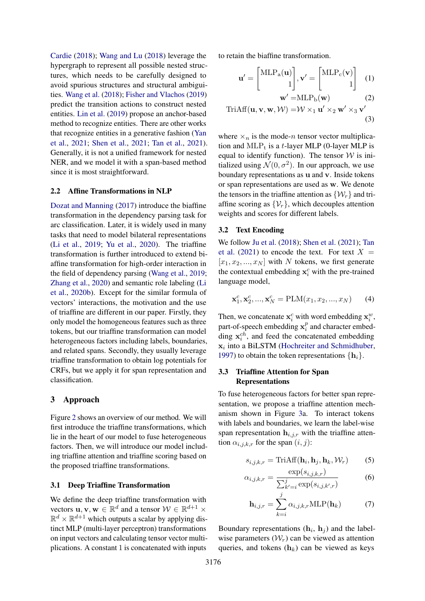[Cardie](#page-8-4) [\(2018\)](#page-8-4); [Wang and Lu](#page-9-6) [\(2018\)](#page-9-6) leverage the hypergraph to represent all possible nested structures, which needs to be carefully designed to avoid spurious structures and structural ambiguities. [Wang et al.](#page-9-7) [\(2018\)](#page-9-7); [Fisher and Vlachos](#page-8-5) [\(2019\)](#page-8-5) predict the transition actions to construct nested entities. [Lin et al.](#page-9-8) [\(2019\)](#page-9-8) propose an anchor-based method to recognize entities. There are other works that recognize entities in a generative fashion [\(Yan](#page-10-6) [et al.,](#page-10-6) [2021;](#page-10-6) [Shen et al.,](#page-9-9) [2021;](#page-9-9) [Tan et al.,](#page-9-10) [2021\)](#page-9-10). Generally, it is not a unified framework for nested NER, and we model it with a span-based method since it is most straightforward.

### 2.2 Affine Transformations in NLP

[Dozat and Manning](#page-8-6) [\(2017\)](#page-8-6) introduce the biaffine transformation in the dependency parsing task for arc classification. Later, it is widely used in many tasks that need to model bilateral representations [\(Li et al.,](#page-9-11) [2019;](#page-9-11) [Yu et al.,](#page-10-3) [2020\)](#page-10-3). The triaffine transformation is further introduced to extend biaffine transformation for high-order interaction in the field of dependency parsing [\(Wang et al.,](#page-9-12) [2019;](#page-9-12) [Zhang et al.,](#page-10-7) [2020\)](#page-10-7) and semantic role labeling [\(Li](#page-9-13) [et al.,](#page-9-13) [2020b\)](#page-9-13). Except for the similar formula of vectors' interactions, the motivation and the use of triaffine are different in our paper. Firstly, they only model the homogeneous features such as three tokens, but our triaffine transformation can model heterogeneous factors including labels, boundaries, and related spans. Secondly, they usually leverage triaffine transformation to obtain log potentials for CRFs, but we apply it for span representation and classification.

#### 3 Approach

Figure [2](#page-3-0) shows an overview of our method. We will first introduce the triaffine transformations, which lie in the heart of our model to fuse heterogeneous factors. Then, we will introduce our model including triaffine attention and triaffine scoring based on the proposed triaffine transformations.

#### 3.1 Deep Triaffine Transformation

We define the deep triaffine transformation with vectors  $\mathbf{u}, \mathbf{v}, \mathbf{w} \in \mathbb{R}^d$  and a tensor  $\mathcal{W} \in \mathbb{R}^{d+1} \times$  $\mathbb{R}^d \times \mathbb{R}^{d+1}$  which outputs a scalar by applying distinct MLP (multi-layer perceptron) transformations on input vectors and calculating tensor vector multiplications. A constant 1 is concatenated with inputs to retain the biaffine transformation.

$$
\mathbf{u}' = \begin{bmatrix} \text{MLP}_{\mathbf{a}}(\mathbf{u}) \\ 1 \end{bmatrix}, \mathbf{v}' = \begin{bmatrix} \text{MLP}_{\mathbf{c}}(\mathbf{v}) \\ 1 \end{bmatrix} \quad (1)
$$

$$
\mathbf{w}' = \text{MLP}_{\mathbf{b}}(\mathbf{w}) \tag{2}
$$
  
TriAff( $\mathbf{u}, \mathbf{v}, \mathbf{w}, \mathcal{W}$ ) =  $\mathcal{W} \times_1 \mathbf{u}' \times_2 \mathbf{w}' \times_3 \mathbf{v}'$ 

$$
(3)
$$

where  $\times_n$  is the mode-*n* tensor vector multiplication and  $MLP_t$  is a t-layer MLP (0-layer MLP is equal to identify function). The tensor  $W$  is initialized using  $\mathcal{N}(0, \sigma^2)$ . In our approach, we use boundary representations as u and v. Inside tokens or span representations are used as w. We denote the tensors in the triaffine attention as  $\{W_r\}$  and triaffine scoring as  $\{\mathcal{V}_r\}$ , which decouples attention weights and scores for different labels.

### 3.2 Text Encoding

We follow [Ju et al.](#page-8-7) [\(2018\)](#page-8-7); [Shen et al.](#page-9-9) [\(2021\)](#page-9-9); [Tan](#page-9-10) [et al.](#page-9-10) [\(2021\)](#page-9-10) to encode the text. For text  $X =$  $[x_1, x_2, ..., x_N]$  with N tokens, we first generate the contextual embedding  $x_i^c$  with the pre-trained language model,

$$
\mathbf{x}_1^c, \mathbf{x}_2^c, ..., \mathbf{x}_N^c = \text{PLM}(x_1, x_2, ..., x_N) \tag{4}
$$

Then, we concatenate  $x_i^c$  with word embedding  $x_i^w$ , part-of-speech embedding  $x_i^p$  $i<sub>i</sub><sup>p</sup>$  and character embedding  $x_i^{ch}$ , and feed the concatenated embedding  $x_i$  into a BiLSTM [\(Hochreiter and Schmidhuber,](#page-8-8) [1997\)](#page-8-8) to obtain the token representations  $\{h_i\}$ .

### 3.3 Triaffine Attention for Span Representations

To fuse heterogeneous factors for better span representation, we propose a triaffine attention mechanism shown in Figure [3a](#page-3-0). To interact tokens with labels and boundaries, we learn the label-wise span representation  $h_{i,j,r}$  with the triaffine attention  $\alpha_{i,j,k,r}$  for the span  $(i, j)$ :

$$
s_{i,j,k,r} = \text{TriAff}(\mathbf{h}_i, \mathbf{h}_j, \mathbf{h}_k, \mathcal{W}_r)
$$
 (5)

$$
\alpha_{i,j,k,r} = \frac{\exp(s_{i,j,k,r})}{\sum_{k'=i}^{j} \exp(s_{i,j,k',r})}
$$
(6)

<span id="page-2-0"></span>
$$
\mathbf{h}_{i,j,r} = \sum_{k=i}^{J} \alpha_{i,j,k,r} \text{MLP}(\mathbf{h}_k)
$$
 (7)

Boundary representations  $(h_i, h_j)$  and the labelwise parameters  $(W_r)$  can be viewed as attention queries, and tokens  $(h_k)$  can be viewed as keys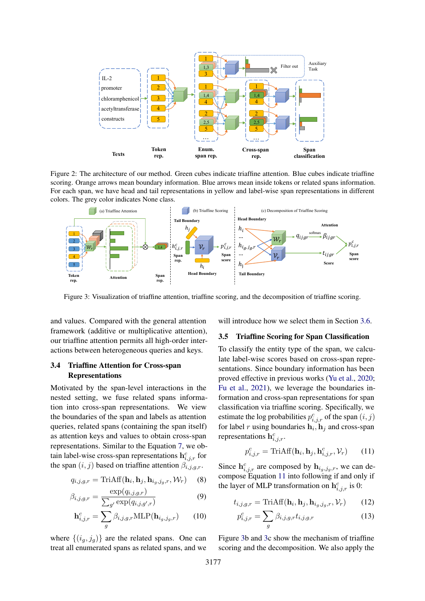<span id="page-3-0"></span>

Figure 2: The architecture of our method. Green cubes indicate triaffine attention. Blue cubes indicate triaffine scoring. Orange arrows mean boundary information. Blue arrows mean inside tokens or related spans information. For each span, we have head and tail representations in yellow and label-wise span representations in different colors. The grey color indicates None class.



Figure 3: Visualization of triaffine attention, triaffine scoring, and the decomposition of triaffine scoring.

and values. Compared with the general attention framework (additive or multiplicative attention), our triaffine attention permits all high-order interactions between heterogeneous queries and keys.

# 3.4 Triaffine Attention for Cross-span Representations

Motivated by the span-level interactions in the nested setting, we fuse related spans information into cross-span representations. We view the boundaries of the span and labels as attention queries, related spans (containing the span itself) as attention keys and values to obtain cross-span representations. Similar to the Equation [7,](#page-2-0) we obtain label-wise cross-span representations  $\mathbf{h}_{i,j,r}^c$  for the span  $(i, j)$  based on triaffine attention  $\beta_{i,j,q,r}$ .

$$
q_{i,j,g,r} = \text{TriAff}(\mathbf{h}_i, \mathbf{h}_j, \mathbf{h}_{i_g,j_g,r}, \mathcal{W}_r)
$$
 (8)

$$
\beta_{i,j,g,r} = \frac{\exp(q_{i,j,g,r})}{\sum_{g'} \exp(q_{i,j,g',r})}
$$
(9)

$$
\mathbf{h}_{i,j,r}^c = \sum_g \beta_{i,j,g,r} \text{MLP}(\mathbf{h}_{i_g,j_g,r}) \qquad (10)
$$

where  $\{(i_g, j_g)\}\$  are the related spans. One can treat all enumerated spans as related spans, and we

will introduce how we select them in Section [3.6.](#page-4-0)

### 3.5 Triaffine Scoring for Span Classification

To classify the entity type of the span, we calculate label-wise scores based on cross-span representations. Since boundary information has been proved effective in previous works [\(Yu et al.,](#page-10-3) [2020;](#page-10-3) [Fu et al.,](#page-8-3) [2021\)](#page-8-3), we leverage the boundaries information and cross-span representations for span classification via triaffine scoring. Specifically, we estimate the log probabilities  $p_{i,j,r}^c$  of the span  $(i, j)$ for label r using boundaries  $\mathbf{h}_i$ ,  $\mathbf{h}_j$  and cross-span representations  $\mathbf{h}^c_{i,j,r}$ .

<span id="page-3-1"></span>
$$
p_{i,j,r}^c = \text{TriAff}(\mathbf{h}_i, \mathbf{h}_j, \mathbf{h}_{i,j,r}^c, \mathcal{V}_r)
$$
 (11)

Since  $h_{i,j,r}^c$  are composed by  $h_{i_g,j_g,r}$ , we can decompose Equation [11](#page-3-1) into following if and only if the layer of MLP transformation on  $\mathbf{h}^c_{i,j,r}$  is 0:

$$
t_{i,j,g,r} = \text{TriAff}(\mathbf{h}_i, \mathbf{h}_j, \mathbf{h}_{i_g,j_g,r}, \mathcal{V}_r)
$$
(12)

$$
p_{i,j,r}^c = \sum_g \beta_{i,j,g,r} t_{i,j,g,r} \tag{13}
$$

Figure [3b](#page-3-0) and [3c](#page-3-0) show the mechanism of triaffine scoring and the decomposition. We also apply the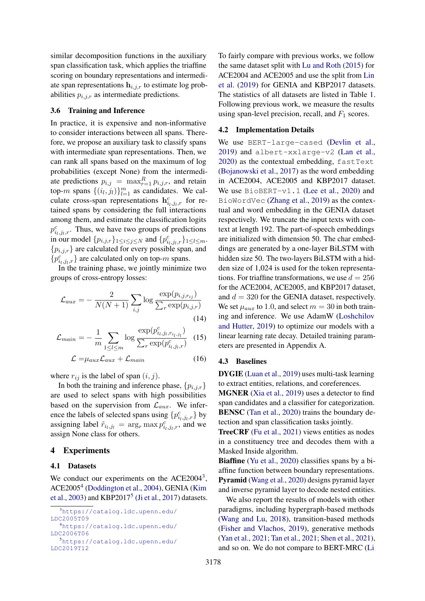similar decomposition functions in the auxiliary span classification task, which applies the triaffine scoring on boundary representations and intermediate span representations  $h_{i,j,r}$  to estimate log probabilities  $p_{i,j,r}$  as intermediate predictions.

### <span id="page-4-0"></span>3.6 Training and Inference

In practice, it is expensive and non-informative to consider interactions between all spans. Therefore, we propose an auxiliary task to classify spans with intermediate span representations. Then, we can rank all spans based on the maximum of log probabilities (except None) from the intermediate predictions  $p_{i,j} = \max_{r=1}^R p_{i,j,r}$ , and retain top-*m* spans  $\{(i_l, j_l)\}_{l=1}^m$  as candidates. We calculate cross-span representations  $\mathbf{h}^c_{i_l,j_l,r}$  for retained spans by considering the full interactions among them, and estimate the classification logits  $p_{i_l,j_l,r}^c$ . Thus, we have two groups of predictions in our model  $\{p_{i,j,r}\}_{1 \le i \le j \le N}$  and  $\{p_{i_1,j_1,r}^c\}_{1 \le l \le m}$ .  ${p_{i,j,r}}$  are calculated for every possible span, and  ${p}_{i_l,j_l,r}^c$  are calculated only on top-*m* spans.

In the training phase, we jointly minimize two groups of cross-entropy losses:

$$
\mathcal{L}_{aux} = -\frac{2}{N(N+1)} \sum_{i,j} \log \frac{\exp(p_{i,j,r_{ij}})}{\sum_{r} \exp(p_{i,j,r})}
$$
(14)

$$
\mathcal{L}_{main} = -\frac{1}{m} \sum_{1 \le l \le m} \log \frac{\exp(p_{i_l,j_l,r_{i_l,j_l}}^c)}{\sum_r \exp(p_{i_l,j_l,r}^c)} \quad (15)
$$

$$
\mathcal{L} = \mu_{aux} \mathcal{L}_{aux} + \mathcal{L}_{main} \tag{16}
$$

where  $r_{ij}$  is the label of span  $(i, j)$ .

In both the training and inference phase,  $\{p_{i,j,r}\}$ are used to select spans with high possibilities based on the supervision from  $\mathcal{L}_{aux}$ . We inference the labels of selected spans using  $\{p^c_{i_l,j_l,r}\}$  by assigning label  $\tilde{r}_{i_l,j_l} = \arg_r \max p_{i_l,j_l,r}^c$ , and we assign None class for others.

### 4 Experiments

#### 4.1 Datasets

We conduct our experiments on the  $ACE2004^3$  $ACE2004^3$ , ACE2005<sup>[4](#page-4-2)</sup> [\(Doddington et al.,](#page-8-9) [2004\)](#page-8-9), GENIA [\(Kim](#page-8-10) [et al.,](#page-8-10) [2003\)](#page-8-10) and KBP2017<sup>[5](#page-4-3)</sup> [\(Ji et al.,](#page-8-11) [2017\)](#page-8-11) datasets. To fairly compare with previous works, we follow the same dataset split with [Lu and Roth](#page-9-5) [\(2015\)](#page-9-5) for ACE2004 and ACE2005 and use the split from [Lin](#page-9-8) [et al.](#page-9-8) [\(2019\)](#page-9-8) for GENIA and KBP2017 datasets. The statistics of all datasets are listed in Table [1.](#page-5-0) Following previous work, we measure the results using span-level precision, recall, and  $F_1$  scores.

#### 4.2 Implementation Details

We use BERT-large-cased [\(Devlin et al.,](#page-8-12) [2019\)](#page-8-12) and albert-xxlarge-v2 [\(Lan et al.,](#page-9-14) [2020\)](#page-9-14) as the contextual embedding, fastText [\(Bojanowski et al.,](#page-8-13) [2017\)](#page-8-13) as the word embedding in ACE2004, ACE2005 and KBP2017 dataset. We use BioBERT-v1.1 [\(Lee et al.,](#page-9-15) [2020\)](#page-9-15) and BioWordVec [\(Zhang et al.,](#page-10-8) [2019\)](#page-10-8) as the contextual and word embedding in the GENIA dataset respectively. We truncate the input texts with context at length 192. The part-of-speech embeddings are initialized with dimension 50. The char embeddings are generated by a one-layer BiLSTM with hidden size 50. The two-layers BiLSTM with a hidden size of 1,024 is used for the token representations. For triaffine transformations, we use  $d = 256$ for the ACE2004, ACE2005, and KBP2017 dataset, and  $d = 320$  for the GENIA dataset, respectively. We set  $\mu_{aux}$  to 1.0, and select  $m = 30$  in both training and inference. We use AdamW [\(Loshchilov](#page-9-16) [and Hutter,](#page-9-16) [2019\)](#page-9-16) to optimize our models with a linear learning rate decay. Detailed training parameters are presented in Appendix A.

#### 4.3 Baselines

DYGIE [\(Luan et al.,](#page-9-3) [2019\)](#page-9-3) uses multi-task learning to extract entities, relations, and coreferences.

MGNER [\(Xia et al.,](#page-10-2) [2019\)](#page-10-2) uses a detector to find span candidates and a classifier for categorization. BENSC [\(Tan et al.,](#page-9-1) [2020\)](#page-9-1) trains the boundary detection and span classification tasks jointly.

TreeCRF [\(Fu et al.,](#page-8-3) [2021\)](#page-8-3) views entities as nodes in a constituency tree and decodes them with a Masked Inside algorithm.

Biaffine [\(Yu et al.,](#page-10-3) [2020\)](#page-10-3) classifies spans by a biaffine function between boundary representations. Pyramid [\(Wang et al.,](#page-9-2) [2020\)](#page-9-2) designs pyramid layer and inverse pyramid layer to decode nested entities.

We also report the results of models with other paradigms, including hypergraph-based methods [\(Wang and Lu,](#page-9-6) [2018\)](#page-9-6), transition-based methods [\(Fisher and Vlachos,](#page-8-5) [2019\)](#page-8-5), generative methods [\(Yan et al.,](#page-10-6) [2021;](#page-10-6) [Tan et al.,](#page-9-10) [2021;](#page-9-10) [Shen et al.,](#page-9-9) [2021\)](#page-9-9), and so on. We do not compare to BERT-MRC [\(Li](#page-9-17)

<span id="page-4-3"></span><span id="page-4-2"></span><span id="page-4-1"></span><sup>3</sup>[https://catalog.ldc.upenn.edu/](https://catalog.ldc.upenn.edu/LDC2005T09) [LDC2005T09](https://catalog.ldc.upenn.edu/LDC2005T09) <sup>4</sup>[https://catalog.ldc.upenn.edu/](https://catalog.ldc.upenn.edu/LDC2006T06) [LDC2006T06](https://catalog.ldc.upenn.edu/LDC2006T06) <sup>5</sup>[https://catalog.ldc.upenn.edu/](https://catalog.ldc.upenn.edu/LDC2019T12) [LDC2019T12](https://catalog.ldc.upenn.edu/LDC2019T12)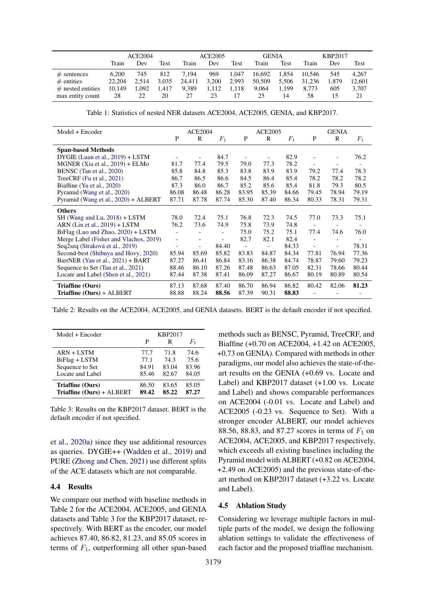<span id="page-5-0"></span>

|                     | <b>ACE2004</b> |       |       |        | ACE2005 |       |        | <b>GENIA</b> |        | <b>KBP2017</b> |        |
|---------------------|----------------|-------|-------|--------|---------|-------|--------|--------------|--------|----------------|--------|
|                     | Train          | Dev   | Test  | Train  | Dev     | Test  | Train  | Test         | Train  | Dev            | Test   |
| $#$ sentences       | 6.200          | 745   | 812   | 7.194  | 969     | 1.047 | 16.692 | 1.854        | 10.546 | 545            | 4.267  |
| $#$ entities        | 22,204         | 2.514 | 3.035 | 24.411 | 3.200   | 2,993 | 50.509 | 5.506        | 31.236 | 1.879          | 12.601 |
| $#$ nested entities | 10,149         | .092  | l.417 | 9,389  | 1,112   | 1.118 | 9.064  | 1.199        | 8.773  | 605            | 3,707  |
| max entity count    | 28             | 22    | 20    | 27     | 23      |       | 25     | 14           | 58     | 15             | 21     |

Table 1: Statistics of nested NER datasets ACE2004, ACE2005, GENIA, and KBP2017.

<span id="page-5-1"></span>

| Model + Encoder                        |                          | <b>ACE2004</b>           |                          |              | <b>ACE2005</b>           |       |                          | <b>GENIA</b>             |                          |
|----------------------------------------|--------------------------|--------------------------|--------------------------|--------------|--------------------------|-------|--------------------------|--------------------------|--------------------------|
|                                        | P                        | R                        | $F_1$                    | $\mathbf{P}$ | R                        | $F_1$ | P                        | $\mathbb{R}$             | $F_1$                    |
| <b>Span-based Methods</b>              |                          |                          |                          |              |                          |       |                          |                          |                          |
| $DYGIE$ (Luan et al., $2019$ ) + LSTM  |                          |                          | 84.7                     |              |                          | 82.9  |                          | $\overline{\phantom{a}}$ | 76.2                     |
| MGNER $(Xia et al., 2019) + ELMo$      | 81.7                     | 77.4                     | 79.5                     | 79.0         | 77.3                     | 78.2  | $\overline{\phantom{a}}$ |                          | $\overline{\phantom{a}}$ |
| BENSC (Tan et al., 2020)               | 85.8                     | 84.8                     | 85.3                     | 83.8         | 83.9                     | 83.9  | 79.2                     | 77.4                     | 78.3                     |
| TreeCRF (Fu et al., $2021$ )           | 86.7                     | 86.5                     | 86.6                     | 84.5         | 86.4                     | 85.4  | 78.2                     | 78.2                     | 78.2                     |
| Biaffine (Yu et al., 2020)             | 87.3                     | 86.0                     | 86.7                     | 85.2         | 85.6                     | 85.4  | 81.8                     | 79.3                     | 80.5                     |
| Pyramid (Wang et al., 2020)            | 86.08                    | 86.48                    | 86.28                    | 83.95        | 85.39                    | 84.66 | 79.45                    | 78.94                    | 79.19                    |
| Pyramid (Wang et al., 2020) + ALBERT   | 87.71                    | 87.78                    | 87.74                    | 85.30        | 87.40                    | 86.34 | 80.33                    | 78.31                    | 79.31                    |
| <b>Others</b>                          |                          |                          |                          |              |                          |       |                          |                          |                          |
| $SH$ (Wang and Lu, 2018) + LSTM        | 78.0                     | 72.4                     | 75.1                     | 76.8         | 72.3                     | 74.5  | 77.0                     | 73.3                     | 75.1                     |
| ARN (Lin et al., $2019$ ) + LSTM       | 76.2                     | 73.6                     | 74.9                     | 75.8         | 73.9                     | 74.8  |                          |                          |                          |
| BiFlag (Luo and Zhao, 2020) + LSTM     | $\overline{a}$           |                          |                          | 75.0         | 75.2                     | 75.1  | 77.4                     | 74.6                     | 76.0                     |
| Merge Label (Fisher and Vlachos, 2019) | $\blacksquare$           | -                        | $\overline{\phantom{a}}$ | 82.7         | 82.1                     | 82.4  | $\overline{\phantom{a}}$ |                          |                          |
| Seq2seq (Straková et al., 2019)        | $\overline{\phantom{0}}$ | $\overline{\phantom{a}}$ | 84.40                    |              | $\overline{\phantom{0}}$ | 84.33 | $\overline{\phantom{a}}$ | $\overline{\phantom{a}}$ | 78.31                    |
| Second-best (Shibuya and Hovy, 2020)   | 85.94                    | 85.69                    | 85.82                    | 83.83        | 84.87                    | 84.34 | 77.81                    | 76.94                    | 77.36                    |
| BartNER (Yan et al., 2021) + BART      | 87.27                    | 86.41                    | 86.84                    | 83.16        | 86.38                    | 84.74 | 78.87                    | 79.60                    | 79.23                    |
| Sequence to Set (Tan et al., 2021)     | 88.46                    | 86.10                    | 87.26                    | 87.48        | 86.63                    | 87.05 | 82.31                    | 78.66                    | 80.44                    |
| Locate and Label (Shen et al., 2021)   | 87.44                    | 87.38                    | 87.41                    | 86.09        | 87.27                    | 86.67 | 80.19                    | 80.89                    | 80.54                    |
| Triaffine (Ours)                       | 87.13                    | 87.68                    | 87.40                    | 86.70        | 86.94                    | 86.82 | 80.42                    | 82.06                    | 81.23                    |
| $Triaffine (Ours) + ALBERT$            | 88.88                    | 88.24                    | 88.56                    | 87.39        | 90.31                    | 88.83 |                          |                          |                          |

Table 2: Results on the ACE2004, ACE2005, and GENIA datasets. BERT is the default encoder if not specified.

<span id="page-5-2"></span>

| Model + Encoder                               | KBP2017        |                |                |  |  |
|-----------------------------------------------|----------------|----------------|----------------|--|--|
|                                               | P              | R              | $F_{1}$        |  |  |
| $ARN + LSTM$                                  | 77.7           | 71.8           | 74.6           |  |  |
| BiFlag + LSTM                                 | 77.1           | 74.3           | 75.6           |  |  |
| Sequence to Set                               | 84.91          | 83.04          | 83.96          |  |  |
| Locate and Label                              | 85.46          | 82.67          | 84.05          |  |  |
| Triaffine (Ours)<br>Triaffine (Ours) + ALBERT | 86.50<br>89.42 | 83.65<br>85.22 | 85.05<br>87.27 |  |  |

Table 3: Results on the KBP2017 dataset. BERT is the default encoder if not specified.

[et al.,](#page-9-17) [2020a\)](#page-9-17) since they use additional resources as queries. DYGIE++ [\(Wadden et al.,](#page-9-0) [2019\)](#page-9-0) and PURE [\(Zhong and Chen,](#page-10-4) [2021\)](#page-10-4) use different splits of the ACE datasets which are not comparable.

# 4.4 Results

We compare our method with baseline methods in Table [2](#page-5-1) for the ACE2004, ACE2005, and GENIA datasets and Table [3](#page-5-2) for the KBP2017 dataset, respectively. With BERT as the encoder, our model achieves 87.40, 86.82, 81.23, and 85.05 scores in terms of  $F_1$ , outperforming all other span-based

methods such as BENSC, Pyramid, TreeCRF, and Biaffine (+0.70 on ACE2004, +1.42 on ACE2005, +0.73 on GENIA). Compared with methods in other paradigms, our model also achieves the state-of-theart results on the GENIA (+0.69 vs. Locate and Label) and KBP2017 dataset (+1.00 vs. Locate and Label) and shows comparable performances on ACE2004 (-0.01 vs. Locate and Label) and ACE2005 (-0.23 vs. Sequence to Set). With a stronger encoder ALBERT, our model achieves 88.56, 88.83, and 87.27 scores in terms of  $F_1$  on ACE2004, ACE2005, and KBP2017 respectively, which exceeds all existing baselines including the Pyramid model with ALBERT (+0.82 on ACE2004, +2.49 on ACE2005) and the previous state-of-theart method on KBP2017 dataset (+3.22 vs. Locate and Label).

#### 4.5 Ablation Study

Considering we leverage multiple factors in multiple parts of the model, we design the following ablation settings to validate the effectiveness of each factor and the proposed triaffine mechanism.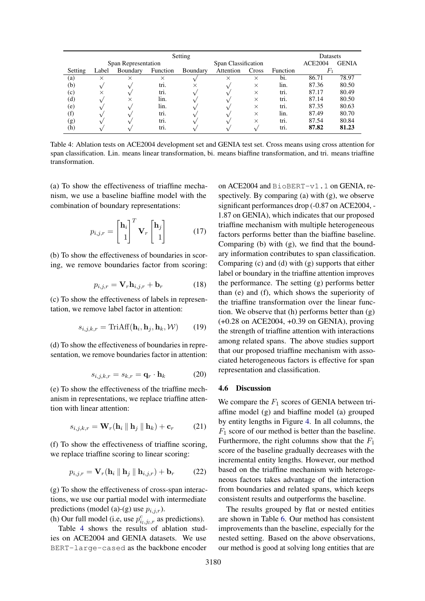<span id="page-6-0"></span>

| Setting             |          |          |                      |   |                     |                   |      | <b>Datasets</b> |              |
|---------------------|----------|----------|----------------------|---|---------------------|-------------------|------|-----------------|--------------|
| Span Representation |          |          |                      |   | Span Classification |                   |      |                 | <b>GENIA</b> |
| Setting             | Label    | Boundary | Function<br>Boundary |   | Attention           | Cross<br>Function |      | F <sub>1</sub>  |              |
| (a)                 | $\times$ | ×        | $\times$             |   | ×                   | $\times$          | bi.  | 86.71           | 78.97        |
| (b)                 |          |          | tri.                 | × |                     | $\times$          | lin. | 87.36           | 80.50        |
| (c)                 | $\times$ |          | tri.                 |   |                     | $\times$          | tri. | 87.17           | 80.49        |
| (d)                 |          | $\times$ | lin.                 |   |                     | $\times$          | tri. | 87.14           | 80.50        |
| (e)                 |          |          | lin.                 |   |                     | $\times$          | tri. | 87.35           | 80.63        |
| (f)                 |          |          | tri.                 |   |                     | $\times$          | lin. | 87.49           | 80.70        |
| (g)                 |          |          | tri.                 |   |                     | $\times$          | tri. | 87.54           | 80.84        |
| (h)                 |          |          | tri.                 |   |                     |                   | tri. | 87.82           | 81.23        |

Table 4: Ablation tests on ACE2004 development set and GENIA test set. Cross means using cross attention for span classification. Lin. means linear transformation, bi. means biaffine transformation, and tri. means triaffine transformation.

(a) To show the effectiveness of triaffine mechanism, we use a baseline biaffine model with the combination of boundary representations:

$$
p_{i,j,r} = \begin{bmatrix} \mathbf{h}_i \\ 1 \end{bmatrix}^T \mathbf{V}_r \begin{bmatrix} \mathbf{h}_j \\ 1 \end{bmatrix} \tag{17}
$$

(b) To show the effectiveness of boundaries in scoring, we remove boundaries factor from scoring:

$$
p_{i,j,r} = \mathbf{V}_r \mathbf{h}_{i,j,r} + \mathbf{b}_r \tag{18}
$$

(c) To show the effectiveness of labels in representation, we remove label factor in attention:

$$
s_{i,j,k,r} = \text{TriAff}(\mathbf{h}_i, \mathbf{h}_j, \mathbf{h}_k, \mathcal{W}) \qquad (19)
$$

(d) To show the effectiveness of boundaries in representation, we remove boundaries factor in attention:

$$
s_{i,j,k,r} = s_{k,r} = \mathbf{q}_r \cdot \mathbf{h}_k \tag{20}
$$

(e) To show the effectiveness of the triaffine mechanism in representations, we replace triaffine attention with linear attention:

$$
s_{i,j,k,r} = \mathbf{W}_r(\mathbf{h}_i \parallel \mathbf{h}_j \parallel \mathbf{h}_k) + \mathbf{c}_r \quad (21)
$$

(f) To show the effectiveness of triaffine scoring, we replace triaffine scoring to linear scoring:

$$
p_{i,j,r} = \mathbf{V}_r(\mathbf{h}_i \parallel \mathbf{h}_j \parallel \mathbf{h}_{i,j,r}) + \mathbf{b}_r \tag{22}
$$

(g) To show the effectiveness of cross-span interactions, we use our partial model with intermediate predictions (model (a)-(g) use  $p_{i,j,r}$ ).

(h) Our full model (i.e, use  $p_{i_l,j_l,r}^c$  as predictions).

Table [4](#page-6-0) shows the results of ablation studies on ACE2004 and GENIA datasets. We use BERT-large-cased as the backbone encoder

on ACE2004 and BioBERT-v1.1 on GENIA, respectively. By comparing (a) with (g), we observe significant performances drop (-0.87 on ACE2004, - 1.87 on GENIA), which indicates that our proposed triaffine mechanism with multiple heterogeneous factors performs better than the biaffine baseline. Comparing (b) with (g), we find that the boundary information contributes to span classification. Comparing (c) and (d) with (g) supports that either label or boundary in the triaffine attention improves the performance. The setting (g) performs better than (e) and (f), which shows the superiority of the triaffine transformation over the linear function. We observe that  $(h)$  performs better than  $(g)$ (+0.28 on ACE2004, +0.39 on GENIA), proving the strength of triaffine attention with interactions among related spans. The above studies support that our proposed triaffine mechanism with associated heterogeneous factors is effective for span representation and classification.

#### 4.6 Discussion

We compare the  $F_1$  scores of GENIA between triaffine model (g) and biaffine model (a) grouped by entity lengths in Figure [4.](#page-7-0) In all columns, the  $F_1$  score of our method is better than the baseline. Furthermore, the right columns show that the  $F_1$ score of the baseline gradually decreases with the incremental entity lengths. However, our method based on the triaffine mechanism with heterogeneous factors takes advantage of the interaction from boundaries and related spans, which keeps consistent results and outperforms the baseline.

The results grouped by flat or nested entities are shown in Table [6.](#page-7-1) Our method has consistent improvements than the baseline, especially for the nested setting. Based on the above observations, our method is good at solving long entities that are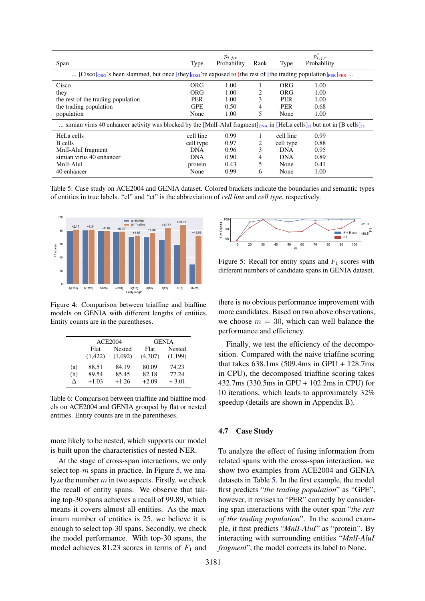<span id="page-7-3"></span>

| Span                                                                                                                                                        | Type       | $p_{i,j,r}$<br>Probability | Rank | Type       | $p_{i,j,r}^c$<br>Probability |  |  |  |
|-------------------------------------------------------------------------------------------------------------------------------------------------------------|------------|----------------------------|------|------------|------------------------------|--|--|--|
| [Cisco] <sub>ORG</sub> 's been slammed, but once [they] <sub>ORG</sub> 're exposed to [the rest of [the trading population] <sub>PER</sub> ] <sub>PER</sub> |            |                            |      |            |                              |  |  |  |
| Cisco                                                                                                                                                       | ORG        | 1.00                       |      | ORG        | 1.00                         |  |  |  |
| they                                                                                                                                                        | ORG        | 1.00                       | 2    | ORG        | 1.00                         |  |  |  |
| the rest of the trading population                                                                                                                          | <b>PER</b> | 1.00                       | 3    | <b>PER</b> | 1.00                         |  |  |  |
| the trading population                                                                                                                                      | <b>GPE</b> | 0.50                       | 4    | <b>PER</b> | 0.68                         |  |  |  |
| population                                                                                                                                                  | None       | 1.00                       | 5    | None       | 1.00                         |  |  |  |
| simian virus 40 enhancer activity was blocked by the [MnII-AluI fragment] <sub>DNA</sub> in [HeLa cells] <sub>cl</sub> but not in [B cells] <sub>cl</sub> . |            |                            |      |            |                              |  |  |  |
| HeLa cells                                                                                                                                                  | cell line  | 0.99                       |      | cell line  | 0.99                         |  |  |  |
| B cells                                                                                                                                                     | cell type  | 0.97                       | 2    | cell type  | 0.88                         |  |  |  |
| MnII-AluI fragment                                                                                                                                          | <b>DNA</b> | 0.96                       | 3    | <b>DNA</b> | 0.95                         |  |  |  |
| simian virus 40 enhancer                                                                                                                                    | <b>DNA</b> | 0.90                       | 4    | <b>DNA</b> | 0.89                         |  |  |  |
| MnlI-AluI                                                                                                                                                   | protein    | 0.43                       | 5    | None       | 0.41                         |  |  |  |
| 40 enhancer                                                                                                                                                 | None       | 0.99                       | 6    | None       | 1.00                         |  |  |  |

Table 5: Case study on ACE2004 and GENIA dataset. Colored brackets indicate the boundaries and semantic types of entities in true labels. "cl" and "ct" is the abbreviation of *cell line* and *cell type*, respectively.

<span id="page-7-0"></span>

Figure 4: Comparison between triaffine and biaffine models on GENIA with different lengths of entities. Entity counts are in the parentheses.

<span id="page-7-1"></span>

|          |         | <b>ACE2004</b> | <b>GENIA</b> |         |  |
|----------|---------|----------------|--------------|---------|--|
|          | Flat    | <b>Nested</b>  | Flat         | Nested  |  |
|          | (1,422) | (1,092)        | (4,307)      | (1,199) |  |
| (a)      | 88.51   | 84.19          | 80.09        | 74.23   |  |
| (h)      | 89.54   | 85.45          | 82.18        | 77.24   |  |
| $\wedge$ | $+1.03$ | $+1.26$        | $+2.09$      | $+3.01$ |  |

Table 6: Comparison between triaffine and biaffine models on ACE2004 and GENIA grouped by flat or nested entities. Entity counts are in the parentheses.

more likely to be nested, which supports our model is built upon the characteristics of nested NER.

At the stage of cross-span interactions, we only select top- $m$  spans in practice. In Figure [5,](#page-7-2) we analyze the number  $m$  in two aspects. Firstly, we check the recall of entity spans. We observe that taking top-30 spans achieves a recall of 99.89, which means it covers almost all entities. As the maximum number of entities is 25, we believe it is enough to select top-30 spans. Secondly, we check the model performance. With top-30 spans, the model achieves 81.23 scores in terms of  $F_1$  and

<span id="page-7-2"></span>

Figure 5: Recall for entity spans and  $F_1$  scores with different numbers of candidate spans in GENIA dataset.

there is no obvious performance improvement with more candidates. Based on two above observations, we choose  $m = 30$ , which can well balance the performance and efficiency.

Finally, we test the efficiency of the decomposition. Compared with the naive triaffine scoring that takes 638.1ms (509.4ms in GPU + 128.7ms in CPU), the decomposed triaffine scoring takes 432.7ms (330.5ms in GPU + 102.2ms in CPU) for 10 iterations, which leads to approximately 32% speedup (details are shown in Appendix B).

### 4.7 Case Study

To analyze the effect of fusing information from related spans with the cross-span interaction, we show two examples from ACE2004 and GENIA datasets in Table [5.](#page-7-3) In the first example, the model first predicts "*the trading population*" as "GPE", however, it revises to "PER" correctly by considering span interactions with the outer span "*the rest of the trading population*". In the second example, it first predicts "*MnlI-AluI*" as "protein". By interacting with surrounding entities "*MnlI-AluI fragment*", the model corrects its label to None.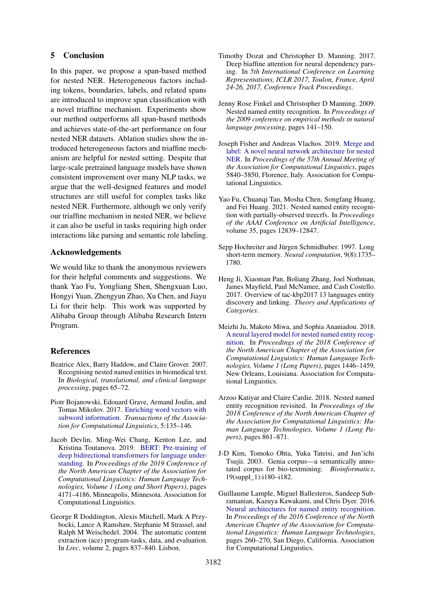### 5 Conclusion

In this paper, we propose a span-based method for nested NER. Heterogeneous factors including tokens, boundaries, labels, and related spans are introduced to improve span classification with a novel triaffine mechanism. Experiments show our method outperforms all span-based methods and achieves state-of-the-art performance on four nested NER datasets. Ablation studies show the introduced heterogeneous factors and triaffine mechanism are helpful for nested setting. Despite that large-scale pretrained language models have shown consistent improvement over many NLP tasks, we argue that the well-designed features and model structures are still useful for complex tasks like nested NER. Furthermore, although we only verify our triaffine mechanism in nested NER, we believe it can also be useful in tasks requiring high order interactions like parsing and semantic role labeling.

### Acknowledgements

We would like to thank the anonymous reviewers for their helpful comments and suggestions. We thank Yao Fu, Yongliang Shen, Shengxuan Luo, Hongyi Yuan, Zhengyun Zhao, Xu Chen, and Jiayu Li for their help. This work was supported by Alibaba Group through Alibaba Research Intern Program.

### **References**

- <span id="page-8-1"></span>Beatrice Alex, Barry Haddow, and Claire Grover. 2007. Recognising nested named entities in biomedical text. In *Biological, translational, and clinical language processing*, pages 65–72.
- <span id="page-8-13"></span>Piotr Bojanowski, Edouard Grave, Armand Joulin, and Tomas Mikolov. 2017. [Enriching word vectors with](https://doi.org/10.1162/tacl_a_00051) [subword information.](https://doi.org/10.1162/tacl_a_00051) *Transactions of the Association for Computational Linguistics*, 5:135–146.
- <span id="page-8-12"></span>Jacob Devlin, Ming-Wei Chang, Kenton Lee, and Kristina Toutanova. 2019. [BERT: Pre-training of](https://doi.org/10.18653/v1/N19-1423) [deep bidirectional transformers for language under](https://doi.org/10.18653/v1/N19-1423)[standing.](https://doi.org/10.18653/v1/N19-1423) In *Proceedings of the 2019 Conference of the North American Chapter of the Association for Computational Linguistics: Human Language Technologies, Volume 1 (Long and Short Papers)*, pages 4171–4186, Minneapolis, Minnesota. Association for Computational Linguistics.
- <span id="page-8-9"></span>George R Doddington, Alexis Mitchell, Mark A Przybocki, Lance A Ramshaw, Stephanie M Strassel, and Ralph M Weischedel. 2004. The automatic content extraction (ace) program-tasks, data, and evaluation. In *Lrec*, volume 2, pages 837–840. Lisbon.
- <span id="page-8-6"></span>Timothy Dozat and Christopher D. Manning. 2017. Deep biaffine attention for neural dependency parsing. In *5th International Conference on Learning Representations, ICLR 2017, Toulon, France, April 24-26, 2017, Conference Track Proceedings*.
- <span id="page-8-2"></span>Jenny Rose Finkel and Christopher D Manning. 2009. Nested named entity recognition. In *Proceedings of the 2009 conference on empirical methods in natural language processing*, pages 141–150.
- <span id="page-8-5"></span>Joseph Fisher and Andreas Vlachos. 2019. [Merge and](https://doi.org/10.18653/v1/P19-1585) [label: A novel neural network architecture for nested](https://doi.org/10.18653/v1/P19-1585) [NER.](https://doi.org/10.18653/v1/P19-1585) In *Proceedings of the 57th Annual Meeting of the Association for Computational Linguistics*, pages 5840–5850, Florence, Italy. Association for Computational Linguistics.
- <span id="page-8-3"></span>Yao Fu, Chuanqi Tan, Mosha Chen, Songfang Huang, and Fei Huang. 2021. Nested named entity recognition with partially-observed treecrfs. In *Proceedings of the AAAI Conference on Artificial Intelligence*, volume 35, pages 12839–12847.
- <span id="page-8-8"></span>Sepp Hochreiter and Jürgen Schmidhuber. 1997. Long short-term memory. *Neural computation*, 9(8):1735– 1780.
- <span id="page-8-11"></span>Heng Ji, Xiaoman Pan, Boliang Zhang, Joel Nothman, James Mayfield, Paul McNamee, and Cash Costello. 2017. Overview of tac-kbp2017 13 languages entity discovery and linking. *Theory and Applications of Categories*.
- <span id="page-8-7"></span>Meizhi Ju, Makoto Miwa, and Sophia Ananiadou. 2018. [A neural layered model for nested named entity recog](https://doi.org/10.18653/v1/N18-1131)[nition.](https://doi.org/10.18653/v1/N18-1131) In *Proceedings of the 2018 Conference of the North American Chapter of the Association for Computational Linguistics: Human Language Technologies, Volume 1 (Long Papers)*, pages 1446–1459, New Orleans, Louisiana. Association for Computational Linguistics.
- <span id="page-8-4"></span>Arzoo Katiyar and Claire Cardie. 2018. Nested named entity recognition revisited. In *Proceedings of the 2018 Conference of the North American Chapter of the Association for Computational Linguistics: Human Language Technologies, Volume 1 (Long Papers)*, pages 861–871.
- <span id="page-8-10"></span>J-D Kim, Tomoko Ohta, Yuka Tateisi, and Jun'ichi Tsujii. 2003. Genia corpus—a semantically annotated corpus for bio-textmining. *Bioinformatics*, 19(suppl\_1):i180–i182.
- <span id="page-8-0"></span>Guillaume Lample, Miguel Ballesteros, Sandeep Subramanian, Kazuya Kawakami, and Chris Dyer. 2016. [Neural architectures for named entity recognition.](https://doi.org/10.18653/v1/N16-1030) In *Proceedings of the 2016 Conference of the North American Chapter of the Association for Computational Linguistics: Human Language Technologies*, pages 260–270, San Diego, California. Association for Computational Linguistics.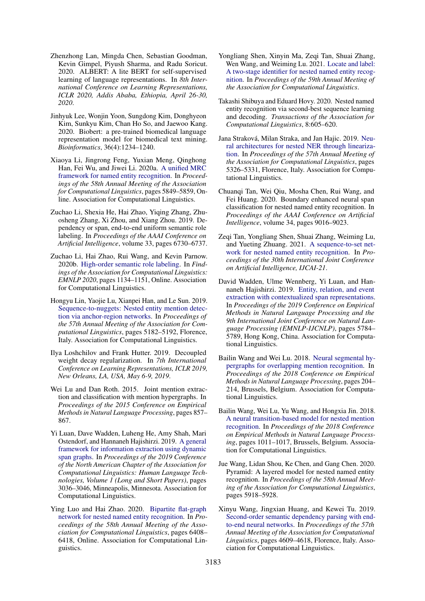- <span id="page-9-14"></span>Zhenzhong Lan, Mingda Chen, Sebastian Goodman, Kevin Gimpel, Piyush Sharma, and Radu Soricut. 2020. ALBERT: A lite BERT for self-supervised learning of language representations. In *8th International Conference on Learning Representations, ICLR 2020, Addis Ababa, Ethiopia, April 26-30, 2020*.
- <span id="page-9-15"></span>Jinhyuk Lee, Wonjin Yoon, Sungdong Kim, Donghyeon Kim, Sunkyu Kim, Chan Ho So, and Jaewoo Kang. 2020. Biobert: a pre-trained biomedical language representation model for biomedical text mining. *Bioinformatics*, 36(4):1234–1240.
- <span id="page-9-17"></span>Xiaoya Li, Jingrong Feng, Yuxian Meng, Qinghong Han, Fei Wu, and Jiwei Li. 2020a. [A unified MRC](https://doi.org/10.18653/v1/2020.acl-main.519) [framework for named entity recognition.](https://doi.org/10.18653/v1/2020.acl-main.519) In *Proceedings of the 58th Annual Meeting of the Association for Computational Linguistics*, pages 5849–5859, Online. Association for Computational Linguistics.
- <span id="page-9-11"></span>Zuchao Li, Shexia He, Hai Zhao, Yiqing Zhang, Zhuosheng Zhang, Xi Zhou, and Xiang Zhou. 2019. Dependency or span, end-to-end uniform semantic role labeling. In *Proceedings of the AAAI Conference on Artificial Intelligence*, volume 33, pages 6730–6737.
- <span id="page-9-13"></span>Zuchao Li, Hai Zhao, Rui Wang, and Kevin Parnow. 2020b. [High-order semantic role labeling.](https://doi.org/10.18653/v1/2020.findings-emnlp.102) In *Findings of the Association for Computational Linguistics: EMNLP 2020*, pages 1134–1151, Online. Association for Computational Linguistics.
- <span id="page-9-8"></span>Hongyu Lin, Yaojie Lu, Xianpei Han, and Le Sun. 2019. [Sequence-to-nuggets: Nested entity mention detec](https://doi.org/10.18653/v1/P19-1511)[tion via anchor-region networks.](https://doi.org/10.18653/v1/P19-1511) In *Proceedings of the 57th Annual Meeting of the Association for Computational Linguistics*, pages 5182–5192, Florence, Italy. Association for Computational Linguistics.
- <span id="page-9-16"></span>Ilya Loshchilov and Frank Hutter. 2019. Decoupled weight decay regularization. In *7th International Conference on Learning Representations, ICLR 2019, New Orleans, LA, USA, May 6-9, 2019*.
- <span id="page-9-5"></span>Wei Lu and Dan Roth. 2015. Joint mention extraction and classification with mention hypergraphs. In *Proceedings of the 2015 Conference on Empirical Methods in Natural Language Processing*, pages 857– 867.
- <span id="page-9-3"></span>Yi Luan, Dave Wadden, Luheng He, Amy Shah, Mari Ostendorf, and Hannaneh Hajishirzi. 2019. [A general](https://doi.org/10.18653/v1/N19-1308) [framework for information extraction using dynamic](https://doi.org/10.18653/v1/N19-1308) [span graphs.](https://doi.org/10.18653/v1/N19-1308) In *Proceedings of the 2019 Conference of the North American Chapter of the Association for Computational Linguistics: Human Language Technologies, Volume 1 (Long and Short Papers)*, pages 3036–3046, Minneapolis, Minnesota. Association for Computational Linguistics.
- <span id="page-9-4"></span>Ying Luo and Hai Zhao. 2020. [Bipartite flat-graph](https://doi.org/10.18653/v1/2020.acl-main.571) [network for nested named entity recognition.](https://doi.org/10.18653/v1/2020.acl-main.571) In *Proceedings of the 58th Annual Meeting of the Association for Computational Linguistics*, pages 6408– 6418, Online. Association for Computational Linguistics.
- <span id="page-9-9"></span>Yongliang Shen, Xinyin Ma, Zeqi Tan, Shuai Zhang, Wen Wang, and Weiming Lu. 2021. [Locate and label:](https://arxiv.org/abs/2105.06804) [A two-stage identifier for nested named entity recog](https://arxiv.org/abs/2105.06804)[nition.](https://arxiv.org/abs/2105.06804) In *Proceedings of the 59th Annual Meeting of the Association for Computational Linguistics*.
- <span id="page-9-19"></span>Takashi Shibuya and Eduard Hovy. 2020. Nested named entity recognition via second-best sequence learning and decoding. *Transactions of the Association for Computational Linguistics*, 8:605–620.
- <span id="page-9-18"></span>Jana Straková, Milan Straka, and Jan Hajic. 2019. [Neu](https://doi.org/10.18653/v1/P19-1527)[ral architectures for nested NER through lineariza](https://doi.org/10.18653/v1/P19-1527)[tion.](https://doi.org/10.18653/v1/P19-1527) In *Proceedings of the 57th Annual Meeting of the Association for Computational Linguistics*, pages 5326–5331, Florence, Italy. Association for Computational Linguistics.
- <span id="page-9-1"></span>Chuanqi Tan, Wei Qiu, Mosha Chen, Rui Wang, and Fei Huang. 2020. Boundary enhanced neural span classification for nested named entity recognition. In *Proceedings of the AAAI Conference on Artificial Intelligence*, volume 34, pages 9016–9023.
- <span id="page-9-10"></span>Zeqi Tan, Yongliang Shen, Shuai Zhang, Weiming Lu, and Yueting Zhuang. 2021. [A sequence-to-set net](https://arxiv.org/abs/2105.08901)[work for nested named entity recognition.](https://arxiv.org/abs/2105.08901) In *Proceedings of the 30th International Joint Conference on Artificial Intelligence, IJCAI-21*.
- <span id="page-9-0"></span>David Wadden, Ulme Wennberg, Yi Luan, and Hannaneh Hajishirzi. 2019. [Entity, relation, and event](https://doi.org/10.18653/v1/D19-1585) [extraction with contextualized span representations.](https://doi.org/10.18653/v1/D19-1585) In *Proceedings of the 2019 Conference on Empirical Methods in Natural Language Processing and the 9th International Joint Conference on Natural Language Processing (EMNLP-IJCNLP)*, pages 5784– 5789, Hong Kong, China. Association for Computational Linguistics.
- <span id="page-9-6"></span>Bailin Wang and Wei Lu. 2018. [Neural segmental hy](https://doi.org/10.18653/v1/D18-1019)[pergraphs for overlapping mention recognition.](https://doi.org/10.18653/v1/D18-1019) In *Proceedings of the 2018 Conference on Empirical Methods in Natural Language Processing*, pages 204– 214, Brussels, Belgium. Association for Computational Linguistics.
- <span id="page-9-7"></span>Bailin Wang, Wei Lu, Yu Wang, and Hongxia Jin. 2018. [A neural transition-based model for nested mention](https://doi.org/10.18653/v1/D18-1124) [recognition.](https://doi.org/10.18653/v1/D18-1124) In *Proceedings of the 2018 Conference on Empirical Methods in Natural Language Processing*, pages 1011–1017, Brussels, Belgium. Association for Computational Linguistics.
- <span id="page-9-2"></span>Jue Wang, Lidan Shou, Ke Chen, and Gang Chen. 2020. Pyramid: A layered model for nested named entity recognition. In *Proceedings of the 58th Annual Meeting of the Association for Computational Linguistics*, pages 5918–5928.
- <span id="page-9-12"></span>Xinyu Wang, Jingxian Huang, and Kewei Tu. 2019. [Second-order semantic dependency parsing with end](https://doi.org/10.18653/v1/P19-1454)[to-end neural networks.](https://doi.org/10.18653/v1/P19-1454) In *Proceedings of the 57th Annual Meeting of the Association for Computational Linguistics*, pages 4609–4618, Florence, Italy. Association for Computational Linguistics.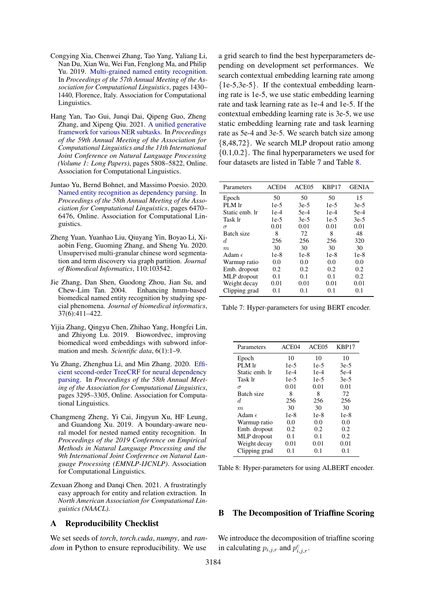- <span id="page-10-2"></span>Congying Xia, Chenwei Zhang, Tao Yang, Yaliang Li, Nan Du, Xian Wu, Wei Fan, Fenglong Ma, and Philip Yu. 2019. [Multi-grained named entity recognition.](https://doi.org/10.18653/v1/P19-1138) In *Proceedings of the 57th Annual Meeting of the Association for Computational Linguistics*, pages 1430– 1440, Florence, Italy. Association for Computational Linguistics.
- <span id="page-10-6"></span>Hang Yan, Tao Gui, Junqi Dai, Qipeng Guo, Zheng Zhang, and Xipeng Qiu. 2021. [A unified generative](https://doi.org/10.18653/v1/2021.acl-long.451) [framework for various NER subtasks.](https://doi.org/10.18653/v1/2021.acl-long.451) In *Proceedings of the 59th Annual Meeting of the Association for Computational Linguistics and the 11th International Joint Conference on Natural Language Processing (Volume 1: Long Papers)*, pages 5808–5822, Online. Association for Computational Linguistics.
- <span id="page-10-3"></span>Juntao Yu, Bernd Bohnet, and Massimo Poesio. 2020. [Named entity recognition as dependency parsing.](https://doi.org/10.18653/v1/2020.acl-main.577) In *Proceedings of the 58th Annual Meeting of the Association for Computational Linguistics*, pages 6470– 6476, Online. Association for Computational Linguistics.
- <span id="page-10-0"></span>Zheng Yuan, Yuanhao Liu, Qiuyang Yin, Boyao Li, Xiaobin Feng, Guoming Zhang, and Sheng Yu. 2020. Unsupervised multi-granular chinese word segmentation and term discovery via graph partition. *Journal of Biomedical Informatics*, 110:103542.
- <span id="page-10-5"></span>Jie Zhang, Dan Shen, Guodong Zhou, Jian Su, and Chew-Lim Tan. 2004. Enhancing hmm-based biomedical named entity recognition by studying special phenomena. *Journal of biomedical informatics*, 37(6):411–422.
- <span id="page-10-8"></span>Yijia Zhang, Qingyu Chen, Zhihao Yang, Hongfei Lin, and Zhiyong Lu. 2019. Biowordvec, improving biomedical word embeddings with subword information and mesh. *Scientific data*, 6(1):1–9.
- <span id="page-10-7"></span>Yu Zhang, Zhenghua Li, and Min Zhang. 2020. [Effi](https://doi.org/10.18653/v1/2020.acl-main.302)[cient second-order TreeCRF for neural dependency](https://doi.org/10.18653/v1/2020.acl-main.302) [parsing.](https://doi.org/10.18653/v1/2020.acl-main.302) In *Proceedings of the 58th Annual Meeting of the Association for Computational Linguistics*, pages 3295–3305, Online. Association for Computational Linguistics.
- <span id="page-10-1"></span>Changmeng Zheng, Yi Cai, Jingyun Xu, HF Leung, and Guandong Xu. 2019. A boundary-aware neural model for nested named entity recognition. In *Proceedings of the 2019 Conference on Empirical Methods in Natural Language Processing and the 9th International Joint Conference on Natural Language Processing (EMNLP-IJCNLP)*. Association for Computational Linguistics.
- <span id="page-10-4"></span>Zexuan Zhong and Danqi Chen. 2021. A frustratingly easy approach for entity and relation extraction. In *North American Association for Computational Linguistics (NAACL)*.

### A Reproducibility Checklist

We set seeds of *torch*, *torch.cuda*, *numpy*, and *random* in Python to ensure reproducibility. We use

a grid search to find the best hyperparameters depending on development set performances. We search contextual embedding learning rate among {1e-5,3e-5}. If the contextual embedding learning rate is 1e-5, we use static embedding learning rate and task learning rate as 1e-4 and 1e-5. If the contextual embedding learning rate is 3e-5, we use static embedding learning rate and task learning rate as 5e-4 and 3e-5. We search batch size among {8,48,72}. We search MLP dropout ratio among {0.1,0.2}. The final hyperparameters we used for four datasets are listed in Table [7](#page-10-9) and Table [8.](#page-10-10)

<span id="page-10-9"></span>

| Parameters      | ACE <sub>04</sub> | ACE <sub>05</sub> | KBP17  | <b>GENIA</b> |
|-----------------|-------------------|-------------------|--------|--------------|
| Epoch           | 50                | 50                | 50     | 15           |
| PLM lr          | $1e-5$            | $3e-5$            | $1e-5$ | $3e-5$       |
| Static emb. Ir  | $1e-4$            | $5e-4$            | $1e-4$ | $5e-4$       |
| Task Ir         | $1e-5$            | $3e-5$            | $1e-5$ | $3e-5$       |
| $\sigma$        | 0.01              | 0.01              | 0.01   | 0.01         |
| Batch size      | 8                 | 72                | 8      | 48           |
| d.              | 256               | 256               | 256    | 320          |
| m               | 30                | 30                | 30     | 30           |
| Adam $\epsilon$ | $1e-8$            | $1e-8$            | $1e-8$ | 1e-8         |
| Warmup ratio    | 0.0               | 0.0               | 0.0    | 0.0          |
| Emb. dropout    | 0.2               | 0.2               | 0.2    | 0.2          |
| MLP dropout     | 0.1               | 0.1               | 0.1    | 0.2          |
| Weight decay    | 0.01              | 0.01              | 0.01   | 0.01         |
| Clipping grad   | 0.1               | 0.1               | 0.1    | 0.1          |

Table 7: Hyper-parameters for using BERT encoder.

<span id="page-10-10"></span>

| Parameters      | ACE <sub>04</sub> | ACE <sub>05</sub> | KBP17  |
|-----------------|-------------------|-------------------|--------|
| Epoch           | 10                | 10                | 10     |
| PLM lr          | $1e-5$            | $1e-5$            | $3e-5$ |
| Static emb. lr  | $1e-4$            | $1e-4$            | 5e-4   |
| Task Ir         | $1e-5$            | $1e-5$            | $3e-5$ |
| $\sigma$        | 0.01              | 0.01              | 0.01   |
| Batch size      | 8                 | 8                 | 72     |
| d.              | 256               | 256               | 256    |
| m               | 30                | 30                | 30     |
| Adam $\epsilon$ | $1e-8$            | $1e-8$            | $1e-8$ |
| Warmup ratio    | 0.0               | 0.0               | 0.0    |
| Emb. dropout    | 0.2               | 0.2               | 0.2    |
| MLP dropout     | 0.1               | 0.1               | 0.2    |
| Weight decay    | 0.01              | 0.01              | 0.01   |
| Clipping grad   | 0.1               | 0.1               | 0.1    |

Table 8: Hyper-parameters for using ALBERT encoder.

#### B The Decomposition of Triaffine Scoring

We introduce the decomposition of triaffine scoring in calculating  $p_{i,j,r}$  and  $p_{i,j,r}^c$ .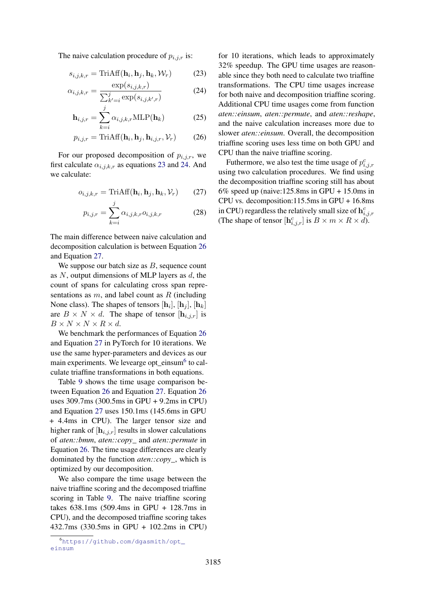The naive calculation procedure of  $p_{i,j,r}$  is:

$$
s_{i,j,k,r} = \text{TriAff}(\mathbf{h}_i, \mathbf{h}_j, \mathbf{h}_k, \mathcal{W}_r)
$$
 (23)

$$
\alpha_{i,j,k,r} = \frac{\exp(s_{i,j,k,r})}{\sum_{k'=i}^{j} \exp(s_{i,j,k',r})}
$$
(24)

$$
\mathbf{h}_{i,j,r} = \sum_{k=i}^{j} \alpha_{i,j,k,r} \text{MLP}(\mathbf{h}_k)
$$
 (25)

$$
p_{i,j,r} = \text{TriAff}(\mathbf{h}_i, \mathbf{h}_j, \mathbf{h}_{i,j,r}, \mathcal{V}_r)
$$
 (26)

For our proposed decomposition of  $p_{i,j,r}$ , we first calculate  $\alpha_{i,j,k,r}$  as equations [23](#page-11-0) and [24.](#page-11-1) And we calculate:

$$
o_{i,j,k,r} = \text{TriAff}(\mathbf{h}_i, \mathbf{h}_j, \mathbf{h}_k, \mathcal{V}_r)
$$
 (27)

$$
p_{i,j,r} = \sum_{k=i}^{j} \alpha_{i,j,k,r} o_{i,j,k,r}
$$
 (28)

The main difference between naive calculation and decomposition calculation is between Equation [26](#page-11-2) and Equation [27.](#page-11-3)

We suppose our batch size as  $B$ , sequence count as  $N$ , output dimensions of MLP layers as  $d$ , the count of spans for calculating cross span representations as  $m$ , and label count as  $R$  (including None class). The shapes of tensors  $[\mathbf{h}_i], [\mathbf{h}_j], [\mathbf{h}_k]$ are  $B \times N \times d$ . The shape of tensor  $[\mathbf{h}_{i,j,r}]$  is  $B \times N \times N \times R \times d$ .

We benchmark the performances of Equation [26](#page-11-2) and Equation [27](#page-11-3) in PyTorch for 10 iterations. We use the same hyper-parameters and devices as our main experiments. We levearge opt\_einsum<sup>[6](#page-11-4)</sup> to calculate triaffine transformations in both equations.

Table [9](#page-12-0) shows the time usage comparison between Equation [26](#page-11-2) and Equation [27.](#page-11-3) Equation [26](#page-11-2) uses 309.7ms (300.5ms in GPU + 9.2ms in CPU) and Equation [27](#page-11-3) uses 150.1ms (145.6ms in GPU + 4.4ms in CPU). The larger tensor size and higher rank of  $[\mathbf{h}_{i,j,r}]$  results in slower calculations of *aten::bmm*, *aten::copy\_* and *aten::permute* in Equation [26.](#page-11-2) The time usage differences are clearly dominated by the function *aten::copy\_*, which is optimized by our decomposition.

We also compare the time usage between the naive triaffine scoring and the decomposed triaffine scoring in Table [9.](#page-12-0) The naive triaffine scoring takes 638.1ms (509.4ms in GPU + 128.7ms in CPU), and the decomposed triaffine scoring takes 432.7ms (330.5ms in GPU + 102.2ms in CPU) <span id="page-11-1"></span><span id="page-11-0"></span>for 10 iterations, which leads to approximately 32% speedup. The GPU time usages are reasonable since they both need to calculate two triaffine transformations. The CPU time usages increase for both naive and decomposition triaffine scoring. Additional CPU time usages come from function *aten::einsum*, *aten::permute*, and *aten::reshape*, and the naive calculation increases more due to slower *aten::einsum*. Overall, the decomposition triaffine scoring uses less time on both GPU and CPU than the naive triaffine scoring.

<span id="page-11-3"></span><span id="page-11-2"></span>Futhermore, we also test the time usage of  $p_{i,j,r}^c$ using two calculation procedures. We find using the decomposition triaffine scoring still has about 6% speed up (naive:125.8ms in GPU + 15.0ms in CPU vs. decomposition:115.5ms in GPU + 16.8ms in CPU) regardless the relatively small size of  $\mathbf{h}_{i,j,r}^c$ (The shape of tensor  $[\mathbf{h}_{i,j,r}^c]$  is  $B \times m \times R \times d$ ).

<span id="page-11-4"></span><sup>6</sup>[https://github.com/dgasmith/opt\\_](https://github.com/dgasmith/opt_einsum) [einsum](https://github.com/dgasmith/opt_einsum)